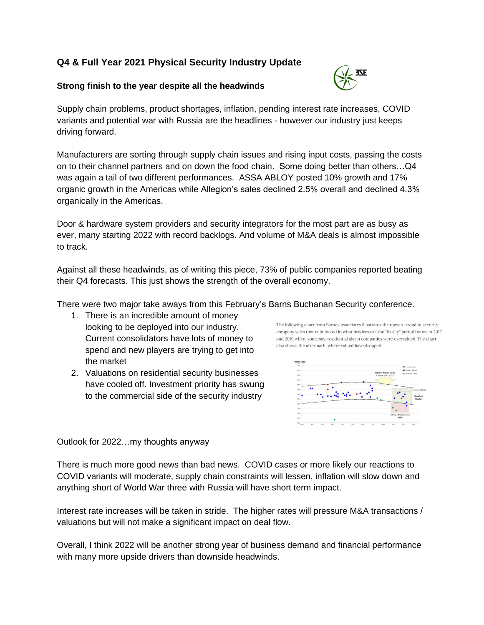# **Q4 & Full Year 2021 Physical Security Industry Update**

## **Strong finish to the year despite all the headwinds**



Supply chain problems, product shortages, inflation, pending interest rate increases, COVID variants and potential war with Russia are the headlines - however our industry just keeps driving forward.

Manufacturers are sorting through supply chain issues and rising input costs, passing the costs on to their channel partners and on down the food chain. Some doing better than others…Q4 was again a tail of two different performances. ASSA ABLOY posted 10% growth and 17% organic growth in the Americas while Allegion's sales declined 2.5% overall and declined 4.3% organically in the Americas.

Door & hardware system providers and security integrators for the most part are as busy as ever, many starting 2022 with record backlogs. And volume of M&A deals is almost impossible to track.

Against all these headwinds, as of writing this piece, 73% of public companies reported beating their Q4 forecasts. This just shows the strength of the overall economy.

There were two major take aways from this February's Barns Buchanan Security conference.

- 1. There is an incredible amount of money looking to be deployed into our industry. Current consolidators have lots of money to spend and new players are trying to get into the market
- 2. Valuations on residential security businesses have cooled off. Investment priority has swung to the commercial side of the security industry





Outlook for 2022…my thoughts anyway

There is much more good news than bad news. COVID cases or more likely our reactions to COVID variants will moderate, supply chain constraints will lessen, inflation will slow down and anything short of World War three with Russia will have short term impact.

Interest rate increases will be taken in stride. The higher rates will pressure M&A transactions / valuations but will not make a significant impact on deal flow.

Overall, I think 2022 will be another strong year of business demand and financial performance with many more upside drivers than downside headwinds.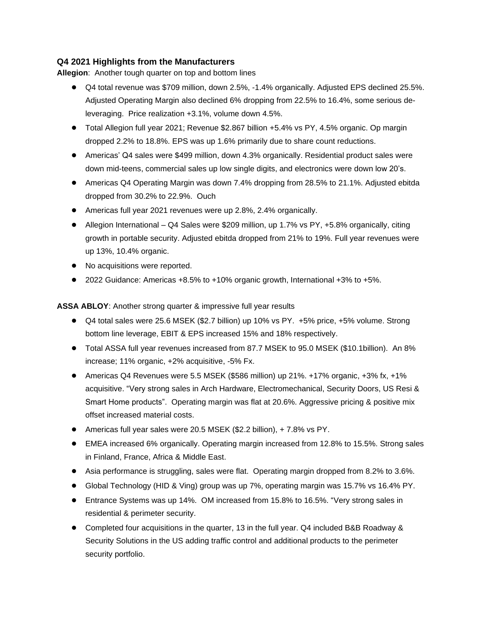## **Q4 2021 Highlights from the Manufacturers**

**Allegion**: Another tough quarter on top and bottom lines

- Q4 total revenue was \$709 million, down 2.5%, -1.4% organically. Adjusted EPS declined 25.5%. Adjusted Operating Margin also declined 6% dropping from 22.5% to 16.4%, some serious deleveraging. Price realization +3.1%, volume down 4.5%.
- Total Allegion full year 2021; Revenue \$2.867 billion +5.4% vs PY, 4.5% organic. Op margin dropped 2.2% to 18.8%. EPS was up 1.6% primarily due to share count reductions.
- Americas' Q4 sales were \$499 million, down 4.3% organically. Residential product sales were down mid-teens, commercial sales up low single digits, and electronics were down low 20's.
- Americas Q4 Operating Margin was down 7.4% dropping from 28.5% to 21.1%. Adjusted ebitda dropped from 30.2% to 22.9%. Ouch
- Americas full year 2021 revenues were up 2.8%, 2.4% organically.
- Allegion International Q4 Sales were \$209 million, up 1.7% vs PY, +5.8% organically, citing growth in portable security. Adjusted ebitda dropped from 21% to 19%. Full year revenues were up 13%, 10.4% organic.
- No acquisitions were reported.
- 2022 Guidance: Americas +8.5% to +10% organic growth, International +3% to +5%.

**ASSA ABLOY**: Another strong quarter & impressive full year results

- Q4 total sales were 25.6 MSEK (\$2.7 billion) up 10% vs PY. +5% price, +5% volume. Strong bottom line leverage, EBIT & EPS increased 15% and 18% respectively.
- Total ASSA full year revenues increased from 87.7 MSEK to 95.0 MSEK (\$10.1billion). An 8% increase; 11% organic, +2% acquisitive, -5% Fx.
- Americas Q4 Revenues were 5.5 MSEK (\$586 million) up 21%.  $+17%$  organic,  $+3%$  fx,  $+1%$ acquisitive. "Very strong sales in Arch Hardware, Electromechanical, Security Doors, US Resi & Smart Home products". Operating margin was flat at 20.6%. Aggressive pricing & positive mix offset increased material costs.
- Americas full year sales were 20.5 MSEK (\$2.2 billion), + 7.8% vs PY.
- EMEA increased 6% organically. Operating margin increased from 12.8% to 15.5%. Strong sales in Finland, France, Africa & Middle East.
- Asia performance is struggling, sales were flat. Operating margin dropped from 8.2% to 3.6%.
- Global Technology (HID & Ving) group was up 7%, operating margin was 15.7% vs 16.4% PY.
- Entrance Systems was up 14%. OM increased from 15.8% to 16.5%. "Very strong sales in residential & perimeter security.
- Completed four acquisitions in the quarter, 13 in the full year. Q4 included B&B Roadway & Security Solutions in the US adding traffic control and additional products to the perimeter security portfolio.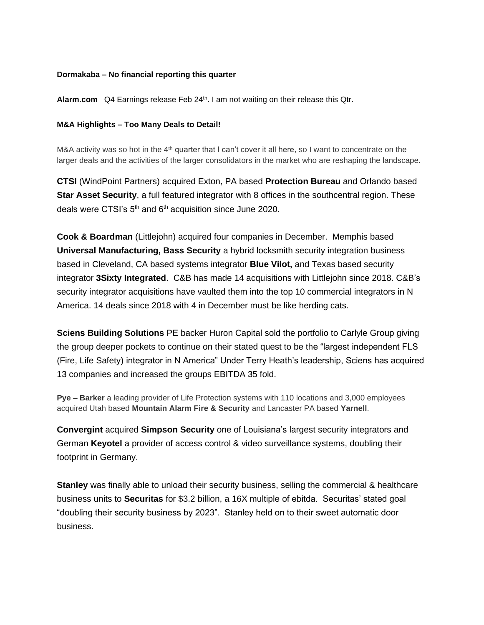### **Dormakaba – No financial reporting this quarter**

**Alarm.com** Q4 Earnings release Feb 24th. I am not waiting on their release this Qtr.

#### **M&A Highlights – Too Many Deals to Detail!**

M&A activity was so hot in the  $4<sup>th</sup>$  quarter that I can't cover it all here, so I want to concentrate on the larger deals and the activities of the larger consolidators in the market who are reshaping the landscape.

**CTSI** (WindPoint Partners) acquired Exton, PA based **Protection Bureau** and Orlando based **Star Asset Security**, a full featured integrator with 8 offices in the southcentral region. These deals were CTSI's  $5<sup>th</sup>$  and  $6<sup>th</sup>$  acquisition since June 2020.

**Cook & Boardman** (Littlejohn) acquired four companies in December. Memphis based **Universal Manufacturing, Bass Security** a hybrid locksmith security integration business based in Cleveland, CA based systems integrator **Blue Vilot,** and Texas based security integrator **3Sixty Integrated**. C&B has made 14 acquisitions with Littlejohn since 2018. C&B's security integrator acquisitions have vaulted them into the top 10 commercial integrators in N America. 14 deals since 2018 with 4 in December must be like herding cats.

**Sciens Building Solutions** PE backer Huron Capital sold the portfolio to Carlyle Group giving the group deeper pockets to continue on their stated quest to be the "largest independent FLS (Fire, Life Safety) integrator in N America" Under Terry Heath's leadership, Sciens has acquired 13 companies and increased the groups EBITDA 35 fold.

**Pye – Barker** a leading provider of Life Protection systems with 110 locations and 3,000 employees acquired Utah based **Mountain Alarm Fire & Security** and Lancaster PA based **Yarnell**.

**Convergint** acquired **Simpson Security** one of Louisiana's largest security integrators and German **Keyotel** a provider of access control & video surveillance systems, doubling their footprint in Germany.

**Stanley** was finally able to unload their security business, selling the commercial & healthcare business units to **Securitas** for \$3.2 billion, a 16X multiple of ebitda. Securitas' stated goal "doubling their security business by 2023". Stanley held on to their sweet automatic door business.